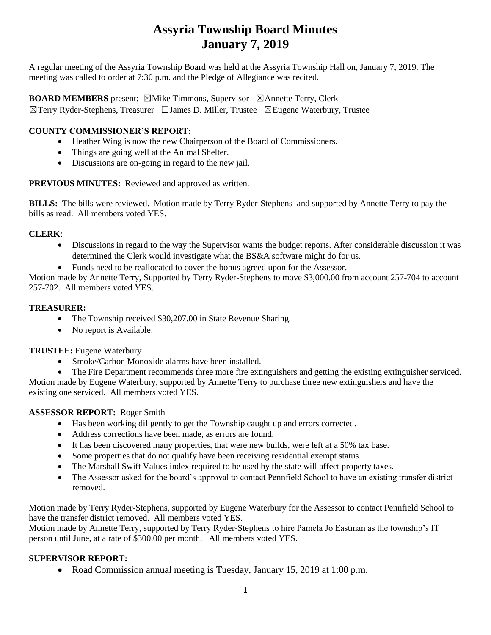# **Assyria Township Board Minutes January 7, 2019**

A regular meeting of the Assyria Township Board was held at the Assyria Township Hall on, January 7, 2019. The meeting was called to order at 7:30 p.m. and the Pledge of Allegiance was recited.

### **BOARD MEMBERS** present: ⊠Mike Timmons, Supervisor ⊠Annette Terry, Clerk ☒Terry Ryder-Stephens, Treasurer ☐James D. Miller, Trustee ☒Eugene Waterbury, Trustee

# **COUNTY COMMISSIONER'S REPORT:**

- Heather Wing is now the new Chairperson of the Board of Commissioners.
- Things are going well at the Animal Shelter.
- Discussions are on-going in regard to the new jail.

#### **PREVIOUS MINUTES:** Reviewed and approved as written.

**BILLS:** The bills were reviewed.Motion made by Terry Ryder-Stephens and supported by Annette Terry to pay the bills as read.All members voted YES.

### **CLERK**:

- Discussions in regard to the way the Supervisor wants the budget reports. After considerable discussion it was determined the Clerk would investigate what the BS&A software might do for us.
- Funds need to be reallocated to cover the bonus agreed upon for the Assessor.

Motion made by Annette Terry, Supported by Terry Ryder-Stephens to move \$3,000.00 from account 257-704 to account 257-702. All members voted YES.

#### **TREASURER:**

- The Township received \$30,207.00 in State Revenue Sharing.
- No report is Available.

#### **TRUSTEE:** Eugene Waterbury

• Smoke/Carbon Monoxide alarms have been installed.

• The Fire Department recommends three more fire extinguishers and getting the existing extinguisher serviced. Motion made by Eugene Waterbury, supported by Annette Terry to purchase three new extinguishers and have the existing one serviced. All members voted YES.

#### **ASSESSOR REPORT:** Roger Smith

- Has been working diligently to get the Township caught up and errors corrected.
- Address corrections have been made, as errors are found.
- It has been discovered many properties, that were new builds, were left at a 50% tax base.
- Some properties that do not qualify have been receiving residential exempt status.
- The Marshall Swift Values index required to be used by the state will affect property taxes.
- The Assessor asked for the board's approval to contact Pennfield School to have an existing transfer district removed.

Motion made by Terry Ryder-Stephens, supported by Eugene Waterbury for the Assessor to contact Pennfield School to have the transfer district removed. All members voted YES.

Motion made by Annette Terry, supported by Terry Ryder-Stephens to hire Pamela Jo Eastman as the township's IT person until June, at a rate of \$300.00 per month. All members voted YES.

#### **SUPERVISOR REPORT:**

• Road Commission annual meeting is Tuesday, January 15, 2019 at 1:00 p.m.